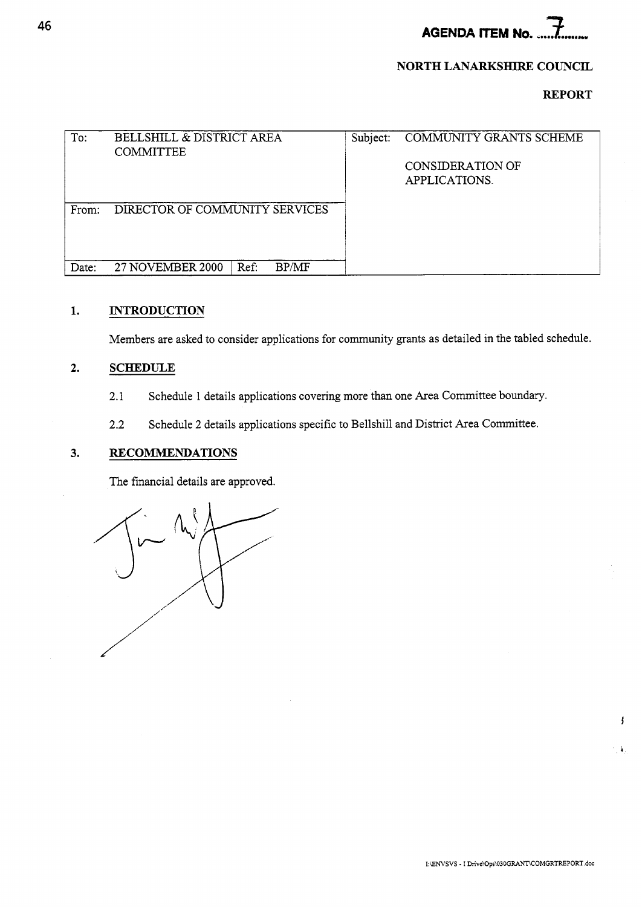**AGENDA ITEM No.** *7* ......-

#### **NORTH LANARKSHIRE COUNCIL**

### **REPORT**

| To:   | <b>BELLSHILL &amp; DISTRICT AREA</b><br><b>COMMITTEE</b> | Subject: | COMMUNITY GRANTS SCHEME           |
|-------|----------------------------------------------------------|----------|-----------------------------------|
|       |                                                          |          | CONSIDERATION OF<br>APPLICATIONS. |
| From: | DIRECTOR OF COMMUNITY SERVICES                           |          |                                   |
| Date: | <b>BP/MF</b><br>27 NOVEMBER 2000<br>Ref:                 |          |                                   |

## **1. INTRODUCTION**

Members are asked to consider applications for community grants as detailed in the tabled schedule.

## **2. SCHEDULE**

- 2.1 Schedule 1 details applications covering more than one Area Committee boundary.
- **2.2**  Schedule 2 details applications specific to Bellshill and District Area Committee.

#### **3. RECOMMENDATIONS**

The financial details are approved.

ł

 $\pmb{\lambda}$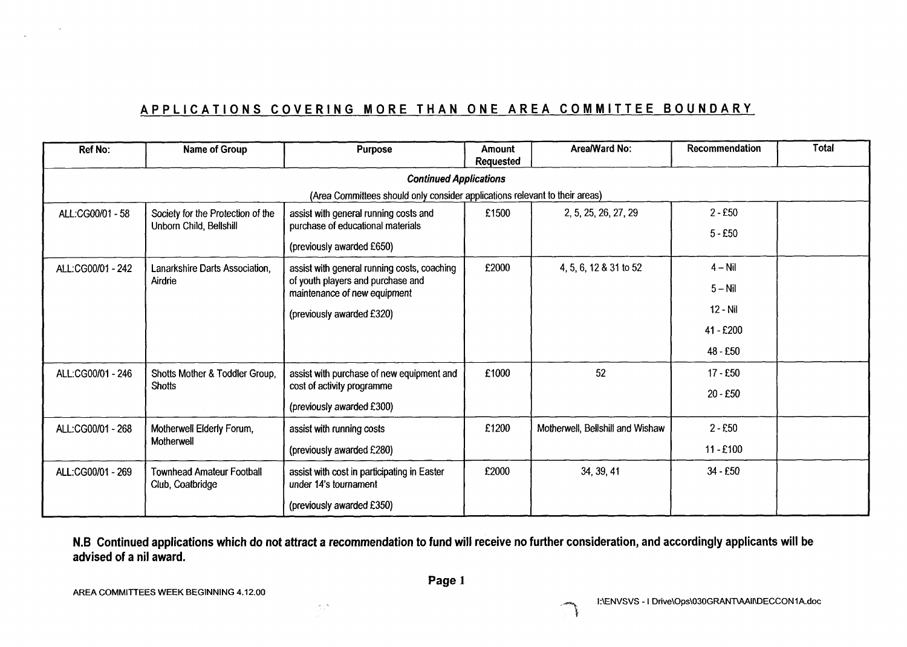# **APPLICATIONS COVERING MORE THAN ONE AREA COMMITTEE BOUNDARY**

| Ref No:                       | Name of Group                                                | <b>Purpose</b>                                                                   | <b>Amount</b><br><b>Requested</b> | Area/Ward No:                    | Recommendation | <b>Total</b> |  |  |  |
|-------------------------------|--------------------------------------------------------------|----------------------------------------------------------------------------------|-----------------------------------|----------------------------------|----------------|--------------|--|--|--|
| <b>Continued Applications</b> |                                                              |                                                                                  |                                   |                                  |                |              |  |  |  |
|                               |                                                              | (Area Committees should only consider applications relevant to their areas)      |                                   |                                  |                |              |  |  |  |
| ALL:CG00/01 - 58              | Society for the Protection of the<br>Unborn Child, Bellshill | assist with general running costs and<br>purchase of educational materials       | £1500                             | 2, 5, 25, 26, 27, 29             | $2 - £50$      |              |  |  |  |
|                               |                                                              | (previously awarded £650)                                                        |                                   |                                  | $5 - £50$      |              |  |  |  |
| ALL:CG00/01 - 242             | Lanarkshire Darts Association,<br>Airdrie                    | assist with general running costs, coaching<br>of youth players and purchase and | £2000                             | 4, 5, 6, 12 & 31 to 52           | $4 - Nil$      |              |  |  |  |
|                               |                                                              | maintenance of new equipment                                                     |                                   |                                  | $5 - Nil$      |              |  |  |  |
|                               |                                                              | (previously awarded £320)                                                        |                                   |                                  | 12 - Nil       |              |  |  |  |
|                               |                                                              |                                                                                  |                                   |                                  | 41 - £200      |              |  |  |  |
|                               |                                                              |                                                                                  |                                   |                                  | 48 - £50       |              |  |  |  |
| ALL:CG00/01 - 246             | Shotts Mother & Toddler Group,                               | assist with purchase of new equipment and                                        | £1000                             | 52                               | 17 - £50       |              |  |  |  |
|                               | <b>Shotts</b>                                                | cost of activity programme                                                       |                                   |                                  | 20 - £50       |              |  |  |  |
|                               |                                                              | (previously awarded £300)                                                        |                                   |                                  |                |              |  |  |  |
| ALL:CG00/01 - 268             | Motherwell Elderly Forum,                                    | assist with running costs                                                        | £1200                             | Motherwell, Bellshill and Wishaw | $2 - £50$      |              |  |  |  |
|                               | Motherwell                                                   | (previously awarded £280)                                                        |                                   |                                  | $11 - £100$    |              |  |  |  |
| ALL:CG00/01 - 269             | <b>Townhead Amateur Football</b><br>Club, Coatbridge         | assist with cost in participating in Easter<br>under 14's tournament             | £2000                             | 34, 39, 41                       | 34 - £50       |              |  |  |  |
|                               |                                                              | (previously awarded £350)                                                        |                                   |                                  |                |              |  |  |  |

**N.B Continued applications which do not attract a recommendation to fund will receive no further consideration, and accordingly applicants will be advised of a nil award.** 

 $\langle \phi \rangle$ 

E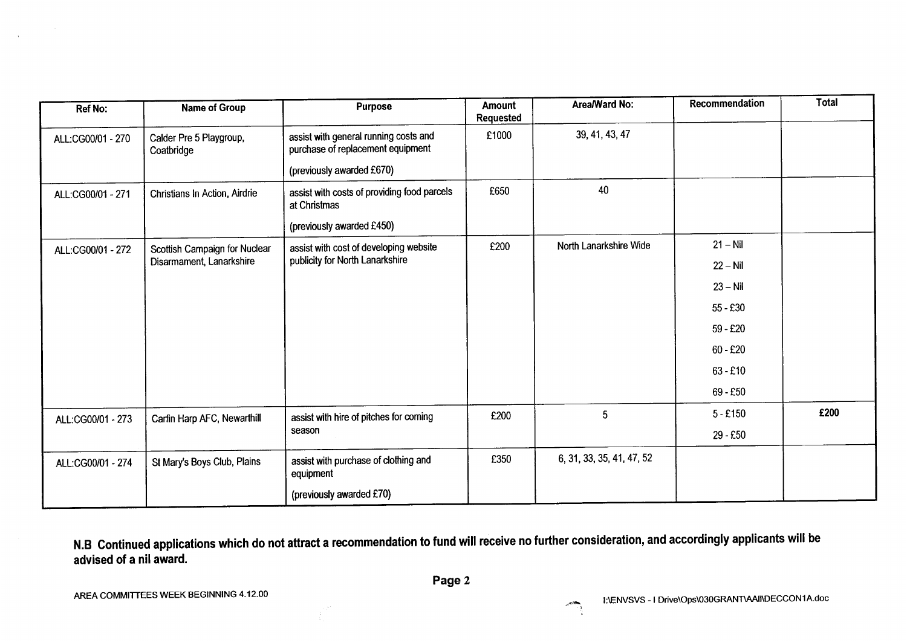| <b>Ref No:</b>    | Name of Group                         | <b>Purpose</b>                                                             | Amount<br><b>Requested</b> | Area/Ward No:             | Recommendation | <b>Total</b> |
|-------------------|---------------------------------------|----------------------------------------------------------------------------|----------------------------|---------------------------|----------------|--------------|
| ALL:CG00/01 - 270 | Calder Pre 5 Playgroup,<br>Coatbridge | assist with general running costs and<br>purchase of replacement equipment | £1000                      | 39, 41, 43, 47            |                |              |
|                   |                                       | (previously awarded £670)                                                  |                            |                           |                |              |
| ALL:CG00/01 - 271 | Christians In Action, Airdrie         | assist with costs of providing food parcels<br>at Christmas                | £650                       | 40                        |                |              |
|                   |                                       | (previously awarded £450)                                                  |                            |                           |                |              |
| ALL:CG00/01 - 272 | Scottish Campaign for Nuclear         | assist with cost of developing website                                     | £200                       | North Lanarkshire Wide    | $21 - Nil$     |              |
|                   | Disarmament, Lanarkshire              | publicity for North Lanarkshire                                            |                            |                           | $22 - Nil$     |              |
|                   |                                       |                                                                            |                            |                           | $23 - Nil$     |              |
|                   |                                       |                                                                            |                            |                           | $55 - £30$     |              |
|                   |                                       |                                                                            |                            |                           | $59 - £20$     |              |
|                   |                                       |                                                                            |                            |                           | $60 - £20$     |              |
|                   |                                       |                                                                            |                            |                           | $63 - £10$     |              |
|                   |                                       |                                                                            |                            |                           | 69 - £50       |              |
| ALL:CG00/01 - 273 | Carfin Harp AFC, Newarthill           | assist with hire of pitches for coming                                     | £200                       | 5                         | $5 - £150$     | £200         |
|                   |                                       | season                                                                     |                            |                           | 29 - £50       |              |
| ALL:CG00/01 - 274 | St Mary's Boys Club, Plains           | assist with purchase of clothing and<br>equipment                          | £350                       | 6, 31, 33, 35, 41, 47, 52 |                |              |
|                   |                                       | (previously awarded £70)                                                   |                            |                           |                |              |

**N.B Continued applications which do not attract a recommendation to fund will receive no further consideration, and accordingly applicants will be advised of a nil award.**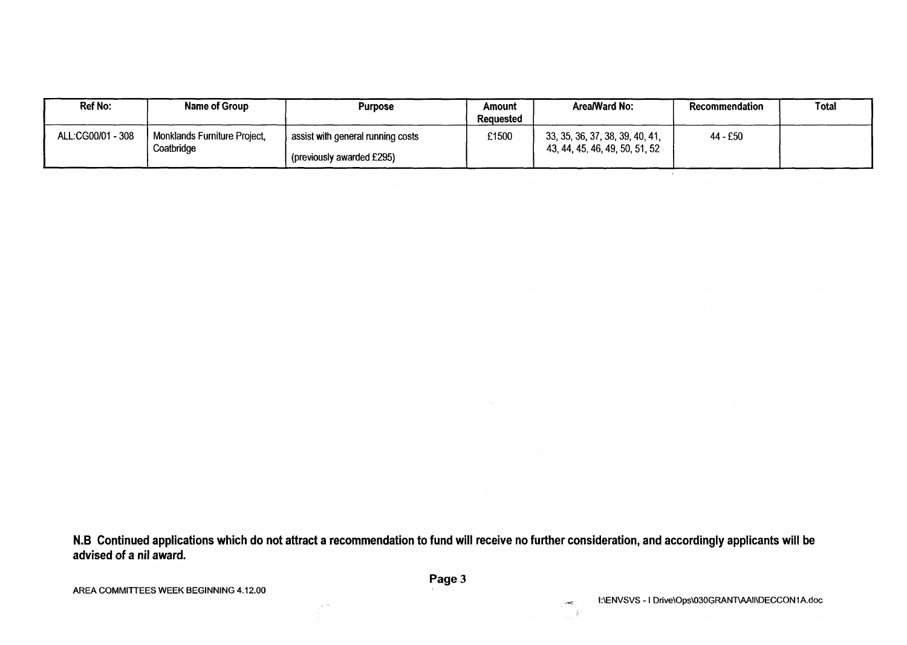| Ref No:           | Name of Group                              | <b>Purpose</b>                                                | Amount<br><b>Requested</b> | Area/Ward No:                                                     | <b>Recommendation</b> | Total |
|-------------------|--------------------------------------------|---------------------------------------------------------------|----------------------------|-------------------------------------------------------------------|-----------------------|-------|
| ALL:CG00/01 - 308 | Monklands Furniture Project,<br>Coatbridge | assist with general running costs<br>previously awarded £295) | £1500                      | 33, 35, 36, 37, 38, 39, 40, 41,<br>43, 44, 45, 46, 49, 50, 51, 52 | 44 - £50              |       |

**N.B Continued applications which do not attract a recommendation to fund will receive no further consideration, and accordingly applicants will be advised of a nil award.** 

 $\overline{\phantom{a}}$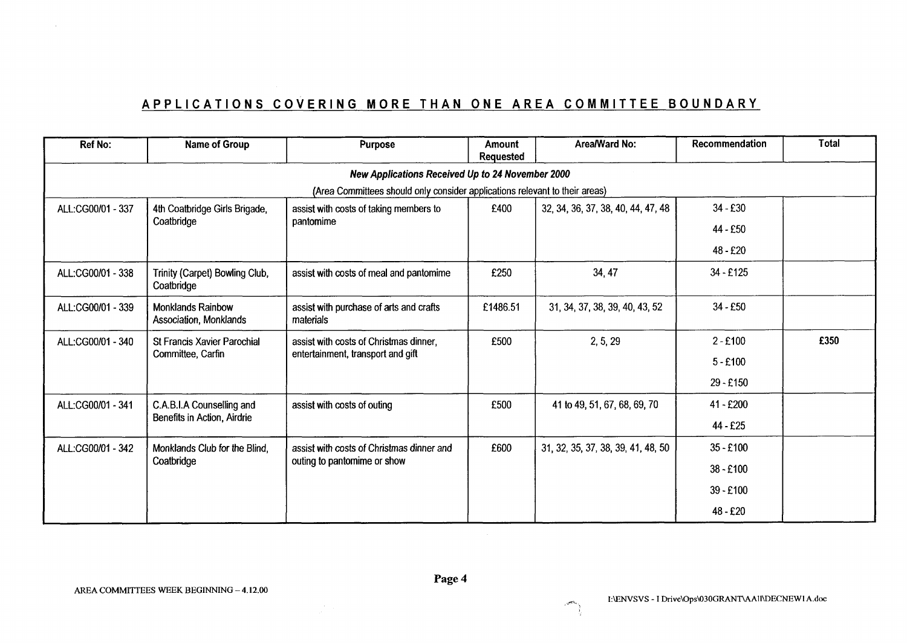# **APPLICATIONS COVERING MORE THAN ONE AREA COMMITTEE BOUNDARY**

|                   |                                                    | APPLICATIONS COVERING MORE THAN ONE AREA COMMITTEE BOUNDARY                                                           |                            |                                    |                       |              |
|-------------------|----------------------------------------------------|-----------------------------------------------------------------------------------------------------------------------|----------------------------|------------------------------------|-----------------------|--------------|
|                   |                                                    |                                                                                                                       |                            |                                    |                       |              |
| <b>Ref No:</b>    | <b>Name of Group</b>                               | Purpose                                                                                                               | Amount<br><b>Requested</b> | Area/Ward No:                      | Recommendation        | <b>Total</b> |
|                   |                                                    | New Applications Received Up to 24 November 2000                                                                      |                            |                                    |                       |              |
| ALL:CG00/01 - 337 | 4th Coatbridge Girls Brigade,                      | (Area Committees should only consider applications relevant to their areas)<br>assist with costs of taking members to | £400                       | 32, 34, 36, 37, 38, 40, 44, 47, 48 | 34 - £30              |              |
|                   | Coatbridge                                         | pantomime                                                                                                             |                            |                                    | 44 - £50              |              |
|                   |                                                    |                                                                                                                       |                            |                                    | 48 - £20              |              |
| ALL:CG00/01 - 338 | Trinity (Carpet) Bowling Club,<br>Coatbridge       | assist with costs of meal and pantomime                                                                               | £250                       | 34, 47                             | $34 - £125$           |              |
| ALL:CG00/01 - 339 | <b>Monklands Rainbow</b><br>Association, Monklands | assist with purchase of arts and crafts<br>materials                                                                  | £1486.51                   | 31, 34, 37, 38, 39, 40, 43, 52     | $34 - £50$            |              |
| ALL:CG00/01 - 340 | St Francis Xavier Parochial                        | assist with costs of Christmas dinner,                                                                                | £500                       | 2, 5, 29                           | $2 - £100$            | £350         |
|                   | Committee, Carfin                                  | entertainment, transport and gift                                                                                     |                            |                                    | $5 - £100$            |              |
|                   |                                                    |                                                                                                                       |                            |                                    | 29 - £150             |              |
| ALL:CG00/01 - 341 | C.A.B.I.A Counselling and                          | assist with costs of outing                                                                                           | £500                       | 41 to 49, 51, 67, 68, 69, 70       | 41 - £200             |              |
|                   | Benefits in Action, Airdrie                        |                                                                                                                       |                            |                                    | 44 - £25              |              |
| ALL:CG00/01 - 342 | Monklands Club for the Blind,<br>Coatbridge        | assist with costs of Christmas dinner and<br>outing to pantomime or show                                              | £600                       | 31, 32, 35, 37, 38, 39, 41, 48, 50 | $35 - £100$           |              |
|                   |                                                    |                                                                                                                       |                            |                                    | $38 - £100$           |              |
|                   |                                                    |                                                                                                                       |                            |                                    | 39 - £100<br>48 - £20 |              |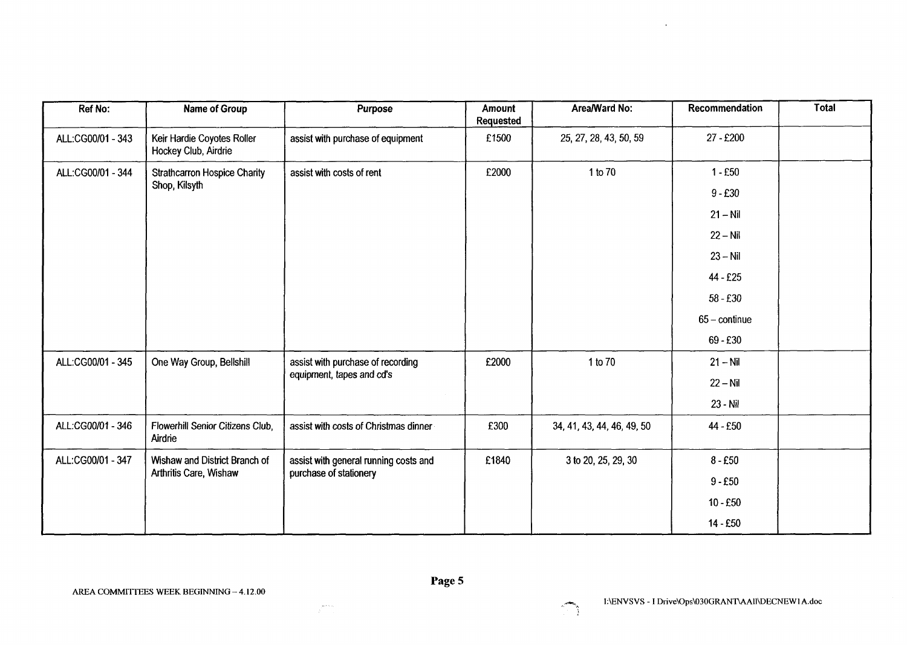| Ref No:           | Name of Group                                      | Purpose                               | Amount<br>Requested | Area/Ward No:              | Recommendation         | <b>Total</b> |
|-------------------|----------------------------------------------------|---------------------------------------|---------------------|----------------------------|------------------------|--------------|
| ALL:CG00/01 - 343 | Keir Hardie Coyotes Roller<br>Hockey Club, Airdrie | assist with purchase of equipment     | £1500               | 25, 27, 28, 43, 50, 59     | 27 - £200              |              |
| ALL:CG00/01 - 344 | <b>Strathcarron Hospice Charity</b>                | assist with costs of rent             | £2000               | 1 to 70                    | $1 - £50$              |              |
|                   | Shop, Kilsyth                                      |                                       |                     |                            | $9 - £30$              |              |
|                   |                                                    |                                       |                     |                            | $21 - Nil$             |              |
|                   |                                                    |                                       |                     |                            | $22 - Nil$             |              |
|                   |                                                    |                                       |                     |                            | $23 - Nil$             |              |
|                   |                                                    |                                       |                     |                            | 44 - £25               |              |
|                   |                                                    |                                       |                     |                            | $58 - £30$             |              |
|                   |                                                    |                                       |                     |                            | $65 - \text{continue}$ |              |
|                   |                                                    |                                       |                     |                            | $69 - £30$             |              |
| ALL:CG00/01 - 345 | One Way Group, Bellshill                           | assist with purchase of recording     | £2000               | 1 to 70                    | $21 - Nil$             |              |
|                   |                                                    | equipment, tapes and cd's             |                     |                            | $22 - Nil$             |              |
|                   |                                                    |                                       |                     |                            | 23 - Nil               |              |
| ALL:CG00/01 - 346 | Flowerhill Senior Citizens Club,<br>Airdrie        | assist with costs of Christmas dinner | £300                | 34, 41, 43, 44, 46, 49, 50 | 44 - £50               |              |
| ALL:CG00/01 - 347 | Wishaw and District Branch of                      | assist with general running costs and | £1840               | 3 to 20, 25, 29, 30        | $8 - £50$              |              |
|                   | Arthritis Care, Wishaw                             | purchase of stationery                |                     |                            | $9 - £50$              |              |
|                   |                                                    |                                       |                     |                            | $10 - £50$             |              |
|                   |                                                    |                                       |                     |                            | 14 - £50               |              |



 $\mathbf{r}$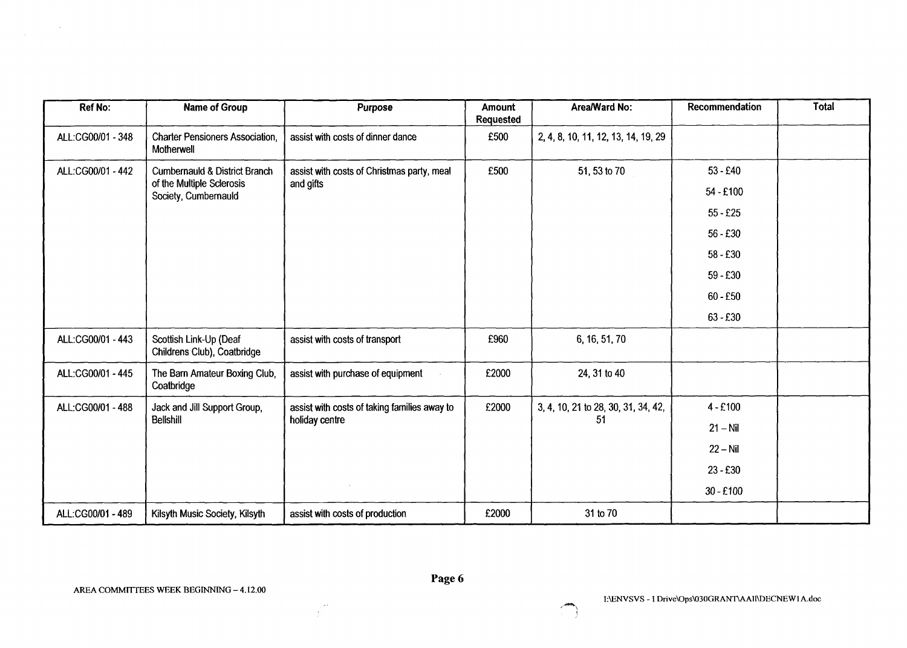| Ref No:           | <b>Name of Group</b>                                  | <b>Purpose</b>                               | Amount<br><b>Requested</b> | Area/Ward No:                       | Recommendation | Total |
|-------------------|-------------------------------------------------------|----------------------------------------------|----------------------------|-------------------------------------|----------------|-------|
| ALL:CG00/01 - 348 | <b>Charter Pensioners Association,</b><br>Motherwell  | assist with costs of dinner dance            | £500                       | 2, 4, 8, 10, 11, 12, 13, 14, 19, 29 |                |       |
| ALL:CG00/01 - 442 | <b>Cumbernauld &amp; District Branch</b>              | assist with costs of Christmas party, meal   | £500                       | 51, 53 to 70                        | $53 - £40$     |       |
|                   | of the Multiple Sclerosis<br>Society, Cumbernauld     | and gifts                                    |                            |                                     | $54 - £100$    |       |
|                   |                                                       |                                              |                            |                                     | $55 - £25$     |       |
|                   |                                                       |                                              |                            |                                     | $56 - £30$     |       |
|                   |                                                       |                                              |                            |                                     | $58 - £30$     |       |
|                   |                                                       |                                              |                            |                                     | $59 - £30$     |       |
|                   |                                                       |                                              |                            |                                     | $60 - £50$     |       |
|                   |                                                       |                                              |                            |                                     | $63 - £30$     |       |
| ALL:CG00/01 - 443 | Scottish Link-Up (Deaf<br>Childrens Club), Coatbridge | assist with costs of transport               | £960                       | 6, 16, 51, 70                       |                |       |
| ALL:CG00/01 - 445 | The Barn Amateur Boxing Club,<br>Coatbridge           | assist with purchase of equipment            | £2000                      | 24, 31 to 40                        |                |       |
| ALL:CG00/01 - 488 | Jack and Jill Support Group,                          | assist with costs of taking families away to | £2000                      | 3, 4, 10, 21 to 28, 30, 31, 34, 42, | $4 - £100$     |       |
|                   | <b>Bellshill</b>                                      | holiday centre                               |                            | 51                                  | $21 - Nil$     |       |
|                   |                                                       |                                              |                            |                                     | $22 - Nil$     |       |
|                   |                                                       |                                              |                            |                                     | $23 - £30$     |       |
|                   |                                                       |                                              |                            |                                     | $30 - £100$    |       |
| ALL:CG00/01 - 489 | Kilsyth Music Society, Kilsyth                        | assist with costs of production              | £2000                      | 31 to 70                            |                |       |

 $\label{eq:2.1} \frac{1}{\sqrt{2\pi}}\int_{\mathbb{R}^3}\frac{1}{\sqrt{2\pi}}\left(\frac{1}{\sqrt{2\pi}}\right)^2\frac{1}{\sqrt{2\pi}}\frac{1}{\sqrt{2\pi}}\frac{1}{\sqrt{2\pi}}\frac{1}{\sqrt{2\pi}}\frac{1}{\sqrt{2\pi}}\frac{1}{\sqrt{2\pi}}\frac{1}{\sqrt{2\pi}}\frac{1}{\sqrt{2\pi}}\frac{1}{\sqrt{2\pi}}\frac{1}{\sqrt{2\pi}}\frac{1}{\sqrt{2\pi}}\frac{1}{\sqrt{2\pi}}\frac{1}{\sqrt{2\pi}}\frac$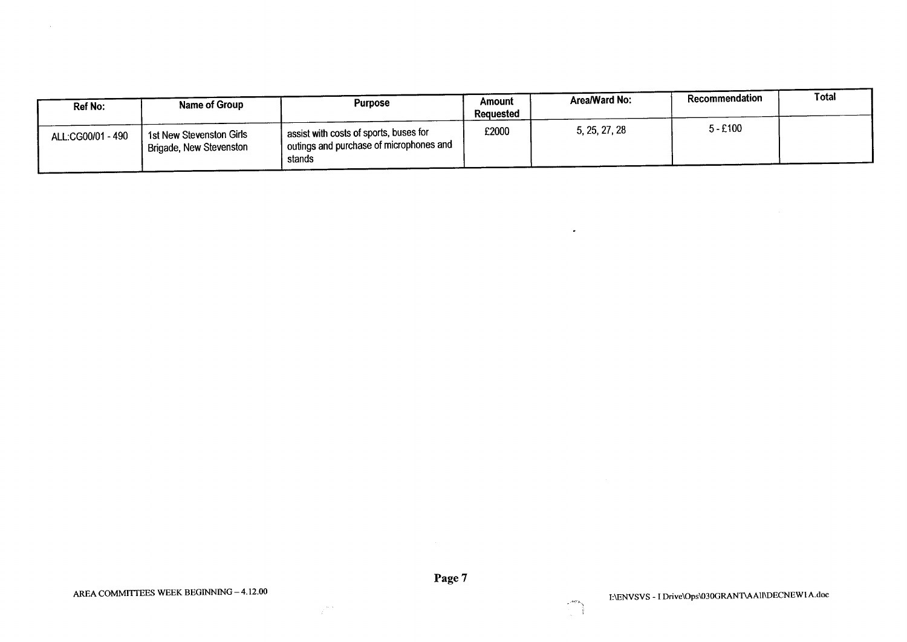| Ref No:           | Name of Group                                                    | <b>Purpose</b>                                                                                | Amount<br>Reauested | Area/Ward No: | Recommendation | Total |
|-------------------|------------------------------------------------------------------|-----------------------------------------------------------------------------------------------|---------------------|---------------|----------------|-------|
| ALL:CG00/01 - 490 | <sup>1</sup> 1st New Stevenston Girls<br>Brigade, New Stevenston | assist with costs of sports, buses for<br>I outings and purchase of microphones and<br>stands | £2000               | 5, 25, 27, 28 | $5 - £100$     |       |

 $\sim$ 

 $\gamma^{\rm max}_i$ 



c ... **<sup>i</sup>**

 $\bullet$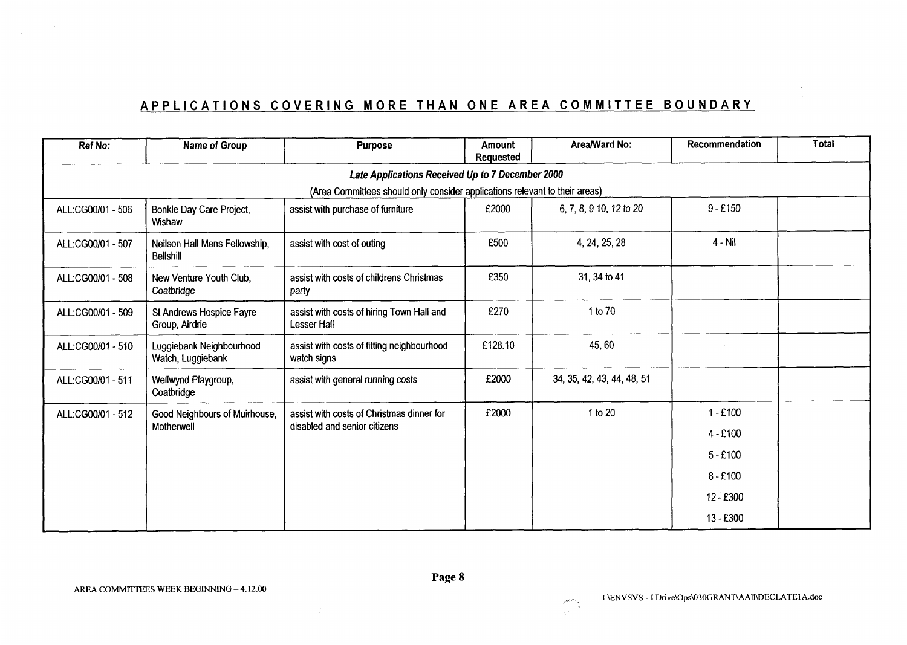# **APPLICATIONS COVERING MORE THAN ONE AREA COMMITTEE BOUNDARY**

| <b>Ref No:</b>                                                              | Name of Group                                     | <b>Purpose</b>                                            | <b>Amount</b><br><b>Requested</b> | Area/Ward No:              | Recommendation | <b>Total</b> |  |  |  |  |
|-----------------------------------------------------------------------------|---------------------------------------------------|-----------------------------------------------------------|-----------------------------------|----------------------------|----------------|--------------|--|--|--|--|
|                                                                             | Late Applications Received Up to 7 December 2000  |                                                           |                                   |                            |                |              |  |  |  |  |
| (Area Committees should only consider applications relevant to their areas) |                                                   |                                                           |                                   |                            |                |              |  |  |  |  |
| ALL:CG00/01 - 506                                                           | Bonkle Day Care Project,<br>Wishaw                | assist with purchase of furniture                         | £2000                             | 6, 7, 8, 9 10, 12 to 20    | $9 - £150$     |              |  |  |  |  |
| ALL:CG00/01 - 507                                                           | Neilson Hall Mens Fellowship,<br><b>Bellshill</b> | assist with cost of outing                                | £500                              | 4, 24, 25, 28              | $4 - Nil$      |              |  |  |  |  |
| ALL:CG00/01 - 508                                                           | New Venture Youth Club,<br>Coatbridge             | assist with costs of childrens Christmas<br>party         | £350                              | 31, 34 to 41               |                |              |  |  |  |  |
| ALL:CG00/01 - 509                                                           | St Andrews Hospice Fayre<br>Group, Airdrie        | assist with costs of hiring Town Hall and<br>Lesser Hall  | £270                              | 1 to 70                    |                |              |  |  |  |  |
| ALL:CG00/01 - 510                                                           | Luggiebank Neighbourhood<br>Watch, Luggiebank     | assist with costs of fitting neighbourhood<br>watch signs | £128.10                           | 45,60                      |                |              |  |  |  |  |
| ALL:CG00/01 - 511                                                           | Wellwynd Playgroup,<br>Coatbridge                 | assist with general running costs                         | £2000                             | 34, 35, 42, 43, 44, 48, 51 |                |              |  |  |  |  |
| ALL:CG00/01 - 512                                                           | Good Neighbours of Muirhouse,                     | assist with costs of Christmas dinner for                 | £2000                             | 1 to 20                    | $1 - £100$     |              |  |  |  |  |
|                                                                             | Motherwell                                        | disabled and senior citizens                              |                                   |                            | $4 - £100$     |              |  |  |  |  |
|                                                                             |                                                   |                                                           |                                   |                            | $5 - £100$     |              |  |  |  |  |
|                                                                             |                                                   |                                                           |                                   |                            | $8 - £100$     |              |  |  |  |  |
|                                                                             |                                                   |                                                           |                                   |                            | $12 - £300$    |              |  |  |  |  |
|                                                                             |                                                   |                                                           |                                   |                            | $13 - £300$    |              |  |  |  |  |

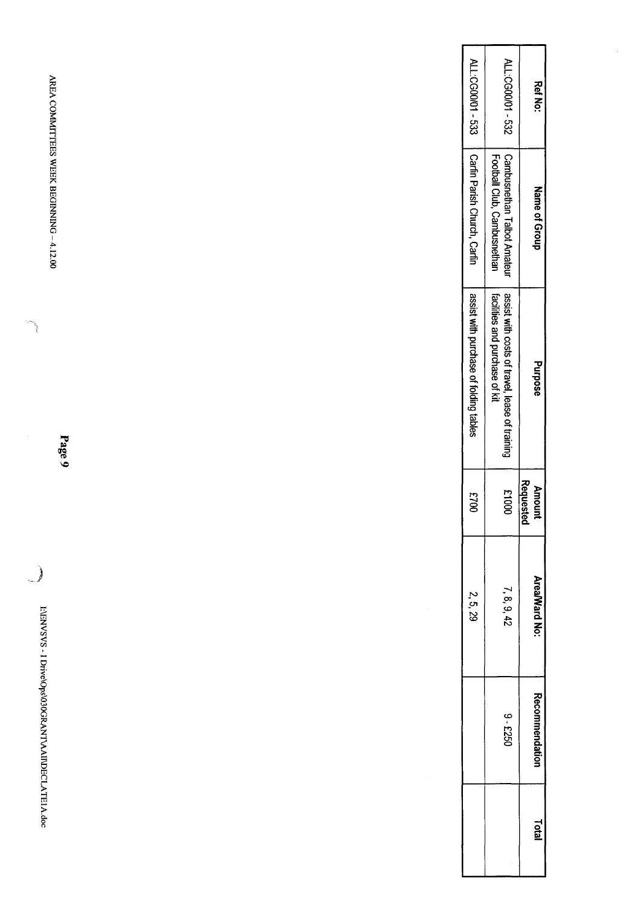| ALL:C500001-533                        | ALL:CG00001 - 532                                                                | <b>Ref No:</b>             |  |
|----------------------------------------|----------------------------------------------------------------------------------|----------------------------|--|
| Carfin Parish Church, Carfin           | Football Club, Cambusnethan<br>Cambusnethan Talbot Amateur                       | Name of Group              |  |
| assist with purchase of folding tables | facilities and purchase of kit<br>assist with costs of travel, lease of training | Purpose                    |  |
| 0023                                   | 00013                                                                            | Requested<br><b>Amount</b> |  |
| 2.5, 29                                | 7, 8, 9, 42                                                                      | Area/Ward No:              |  |
|                                        | 09-5250                                                                          | <b>Recommendation</b>      |  |
|                                        |                                                                                  | Total                      |  |

AREA COMMITTEES WEEK BEGINNING-4.12.00 **AREA COMMITTEES** WEEK BEGINNING - **4.12.00** 

**Page 9** 

**1:ENVSVS** EVENVSVS - I Drive\Ops\030GRANT\AAll\DECLATE1A.doc **Drive\Ops\030GRAN72AAll~ECLATE1A.doc** 

.<br>المحموب .<br>المحموب .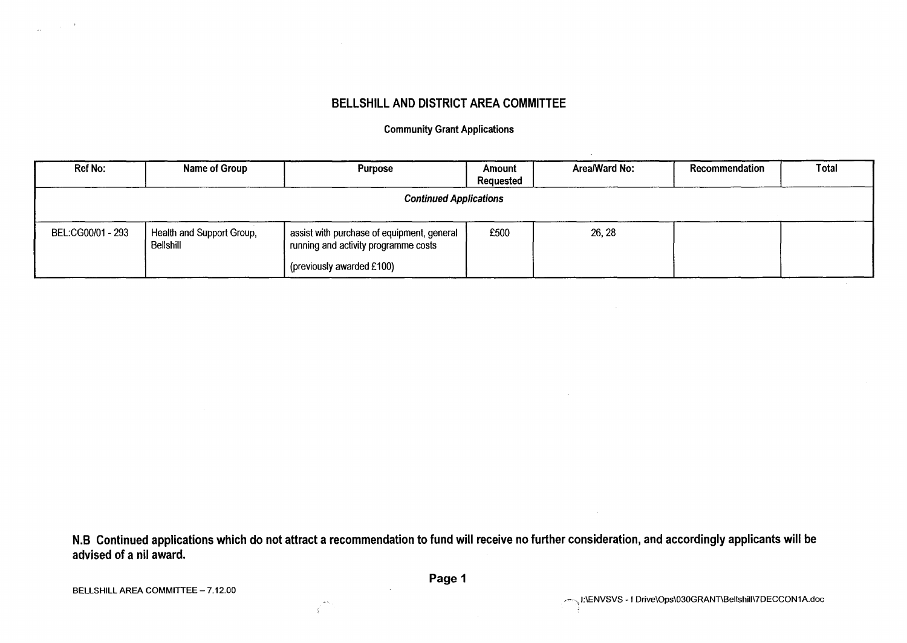## **BELLSHILL AND DISTRICT AREA COMMITTEE**

**Community Grant Applications** 

| <b>Ref No:</b>                | Name of Group                          | <b>Purpose</b>                                                                     | Amount<br>Requested | Area/Ward No: | Recommendation | Total |  |  |
|-------------------------------|----------------------------------------|------------------------------------------------------------------------------------|---------------------|---------------|----------------|-------|--|--|
| <b>Continued Applications</b> |                                        |                                                                                    |                     |               |                |       |  |  |
| BEL:CG00/01 - 293             | Health and Support Group,<br>Bellshill | assist with purchase of equipment, general<br>running and activity programme costs | £500                | 26, 28        |                |       |  |  |
|                               |                                        | (previously awarded £100)                                                          |                     |               |                |       |  |  |

**N.B Continued applications which do not attract a recommendation to fund will receive no further consideration, and accordingly applicants will be advised of a nil award.** 

**BELLSHILL AREA COMMITTEE - 7.12.00** 

-ť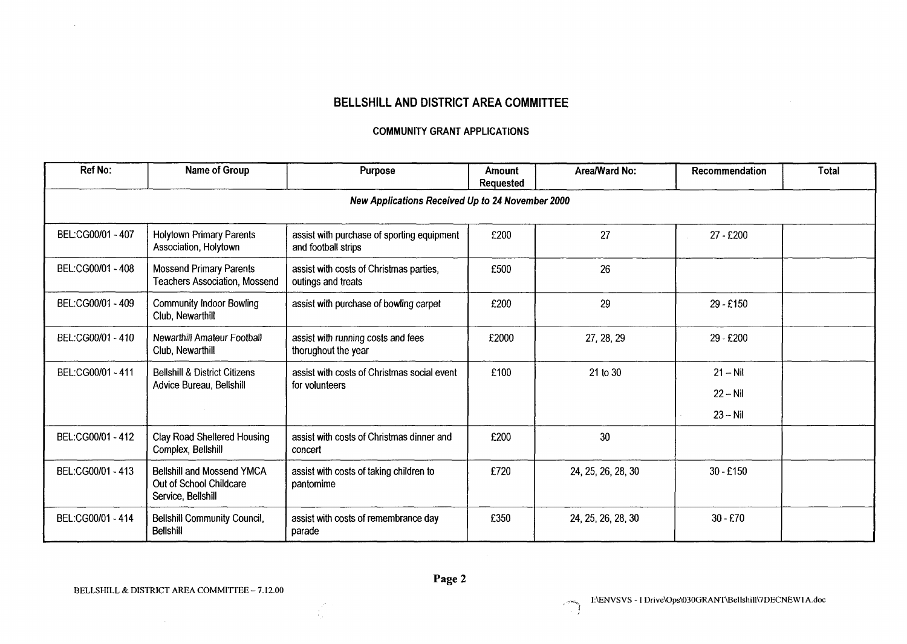## **BELLSHILL AND DISTRICT AREA COMMITTEE**

#### **COMMUNITY GRANT APPLICATIONS**

| <b>Ref No:</b>                                   | Name of Group                                                                                                                         | <b>Purpose</b>                                                    | Amount<br><b>Requested</b> | Area/Ward No:      | Recommendation | <b>Total</b> |  |  |  |
|--------------------------------------------------|---------------------------------------------------------------------------------------------------------------------------------------|-------------------------------------------------------------------|----------------------------|--------------------|----------------|--------------|--|--|--|
| New Applications Received Up to 24 November 2000 |                                                                                                                                       |                                                                   |                            |                    |                |              |  |  |  |
| BEL:CG00/01 - 407                                | <b>Holytown Primary Parents</b><br>Association, Holytown                                                                              | assist with purchase of sporting equipment<br>and football strips | £200                       | 27                 | 27 - £200      |              |  |  |  |
| BEL:CG00/01 - 408                                | <b>Mossend Primary Parents</b><br>Teachers Association, Mossend                                                                       | assist with costs of Christmas parties,<br>outings and treats     | £500                       | 26                 |                |              |  |  |  |
| BEL:CG00/01 - 409                                | <b>Community Indoor Bowling</b><br>Club, Newarthill                                                                                   | assist with purchase of bowling carpet                            | £200                       | 29                 | 29 - £150      |              |  |  |  |
| BEL:CG00/01 - 410                                | Newarthill Amateur Football<br>Club, Newarthill                                                                                       | assist with running costs and fees<br>thorughout the year         | £2000                      | 27, 28, 29         | 29 - £200      |              |  |  |  |
| BEL:CG00/01 - 411                                | <b>Bellshill &amp; District Citizens</b><br>assist with costs of Christmas social event<br>Advice Bureau, Bellshill<br>for volunteers | £100                                                              | 21 to 30                   | $21 - Nil$         |                |              |  |  |  |
|                                                  |                                                                                                                                       |                                                                   |                            |                    | $22 - Nil$     |              |  |  |  |
|                                                  |                                                                                                                                       |                                                                   |                            |                    | $23 - Nil$     |              |  |  |  |
| BEL:CG00/01 - 412                                | <b>Clay Road Sheltered Housing</b><br>Complex, Bellshill                                                                              | assist with costs of Christmas dinner and<br>concert              | £200                       | 30                 |                |              |  |  |  |
| BEL:CG00/01 - 413                                | <b>Bellshill and Mossend YMCA</b><br>Out of School Childcare<br>Service, Bellshill                                                    | assist with costs of taking children to<br>pantomime              | £720                       | 24, 25, 26, 28, 30 | $30 - £150$    |              |  |  |  |
| BEL:CG00/01 - 414                                | <b>Bellshill Community Council,</b><br><b>Bellshill</b>                                                                               | assist with costs of remembrance day<br>parade                    | £350                       | 24, 25, 26, 28, 30 | $30 - £70$     |              |  |  |  |

 $\sim$ 

 $\mathbb{R}^2$ 

 $\frac{2}{\sqrt{2}}$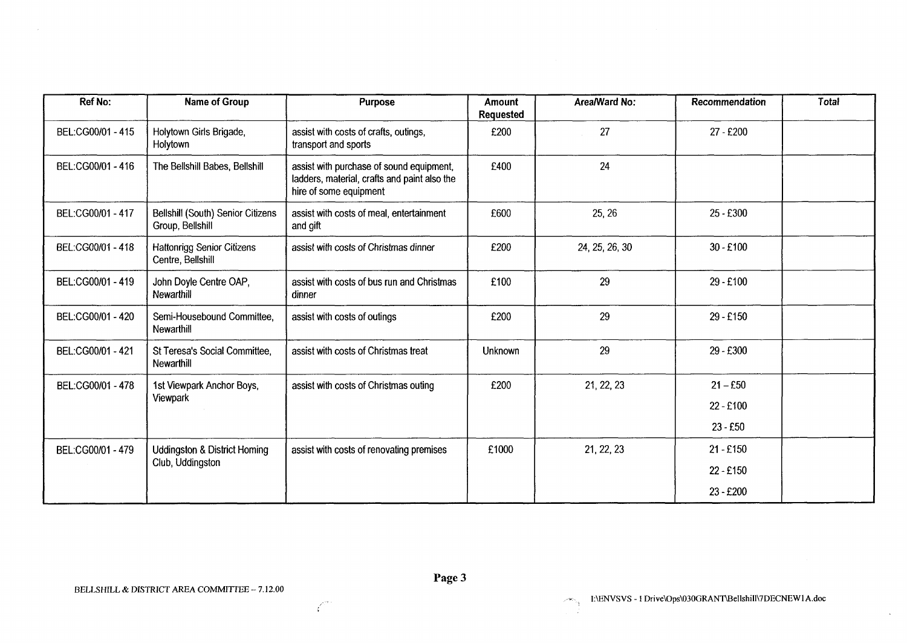| <b>Ref No:</b>    | Name of Group                                          | Purpose                                                                                                            | <b>Amount</b><br><b>Requested</b> | Area/Ward No:  | Recommendation | <b>Total</b> |
|-------------------|--------------------------------------------------------|--------------------------------------------------------------------------------------------------------------------|-----------------------------------|----------------|----------------|--------------|
| BEL:CG00/01 - 415 | Holytown Girls Brigade,<br>Holytown                    | assist with costs of crafts, outings,<br>transport and sports                                                      | £200                              | 27             | 27 - £200      |              |
| BEL:CG00/01 - 416 | The Bellshill Babes, Bellshill                         | assist with purchase of sound equipment,<br>ladders, material, crafts and paint also the<br>hire of some equipment | £400                              | 24             |                |              |
| BEL:CG00/01 - 417 | Bellshill (South) Senior Citizens<br>Group, Bellshill  | assist with costs of meal, entertainment<br>and gift                                                               | £600                              | 25, 26         | 25 - £300      |              |
| BEL:CG00/01 - 418 | <b>Hattonrigg Senior Citizens</b><br>Centre, Bellshill | assist with costs of Christmas dinner                                                                              | £200                              | 24, 25, 26, 30 | $30 - £100$    |              |
| BEL:CG00/01 - 419 | John Doyle Centre OAP,<br>Newarthill                   | assist with costs of bus run and Christmas<br>dinner                                                               | £100                              | 29             | 29 - £100      |              |
| BEL:CG00/01 - 420 | Semi-Housebound Committee,<br>Newarthill               | assist with costs of outings                                                                                       | £200                              | 29             | 29 - £150      |              |
| BEL:CG00/01 - 421 | St Teresa's Social Committee,<br>Newarthill            | assist with costs of Christmas treat                                                                               | Unknown                           | 29             | 29 - £300      |              |
| BEL:CG00/01 - 478 | 1st Viewpark Anchor Boys,                              | assist with costs of Christmas outing                                                                              | £200                              | 21, 22, 23     | $21 - £50$     |              |
|                   | Viewpark                                               |                                                                                                                    |                                   |                | $22 - £100$    |              |
|                   |                                                        |                                                                                                                    |                                   |                | $23 - £50$     |              |
| BEL:CG00/01 - 479 | <b>Uddingston &amp; District Homing</b>                | assist with costs of renovating premises                                                                           | £1000                             | 21, 22, 23     | $21 - £150$    |              |
|                   | Club, Uddingston                                       |                                                                                                                    |                                   |                | 22 - £150      |              |
|                   |                                                        |                                                                                                                    |                                   |                | 23 - £200      |              |

 $\sim$